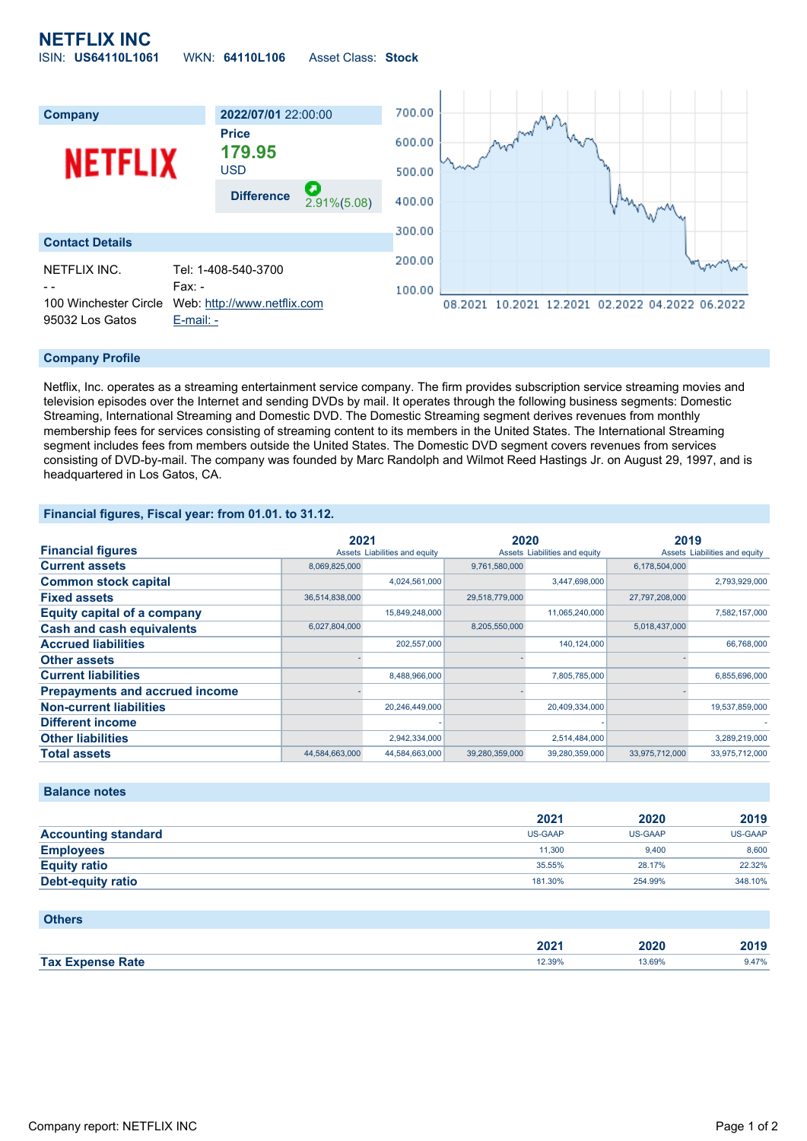## **NETFLIX INC** ISIN: **US64110L1061** WKN: **64110L106** Asset Class: **Stock**



### **Company Profile**

Netflix, Inc. operates as a streaming entertainment service company. The firm provides subscription service streaming movies and television episodes over the Internet and sending DVDs by mail. It operates through the following business segments: Domestic Streaming, International Streaming and Domestic DVD. The Domestic Streaming segment derives revenues from monthly membership fees for services consisting of streaming content to its members in the United States. The International Streaming segment includes fees from members outside the United States. The Domestic DVD segment covers revenues from services consisting of DVD-by-mail. The company was founded by Marc Randolph and Wilmot Reed Hastings Jr. on August 29, 1997, and is headquartered in Los Gatos, CA.

#### **Financial figures, Fiscal year: from 01.01. to 31.12.**

|                                       | 2021           |                               | 2020           |                               | 2019           |                               |
|---------------------------------------|----------------|-------------------------------|----------------|-------------------------------|----------------|-------------------------------|
| <b>Financial figures</b>              |                | Assets Liabilities and equity |                | Assets Liabilities and equity |                | Assets Liabilities and equity |
| <b>Current assets</b>                 | 8,069,825,000  |                               | 9,761,580,000  |                               | 6,178,504,000  |                               |
| <b>Common stock capital</b>           |                | 4,024,561,000                 |                | 3,447,698,000                 |                | 2,793,929,000                 |
| <b>Fixed assets</b>                   | 36,514,838,000 |                               | 29,518,779,000 |                               | 27,797,208,000 |                               |
| <b>Equity capital of a company</b>    |                | 15,849,248,000                |                | 11,065,240,000                |                | 7,582,157,000                 |
| <b>Cash and cash equivalents</b>      | 6,027,804,000  |                               | 8,205,550,000  |                               | 5,018,437,000  |                               |
| <b>Accrued liabilities</b>            |                | 202,557,000                   |                | 140,124,000                   |                | 66,768,000                    |
| <b>Other assets</b>                   |                |                               |                |                               |                |                               |
| <b>Current liabilities</b>            |                | 8,488,966,000                 |                | 7,805,785,000                 |                | 6,855,696,000                 |
| <b>Prepayments and accrued income</b> |                |                               |                |                               |                |                               |
| <b>Non-current liabilities</b>        |                | 20,246,449,000                |                | 20,409,334,000                |                | 19,537,859,000                |
| <b>Different income</b>               |                |                               |                |                               |                |                               |
| <b>Other liabilities</b>              |                | 2,942,334,000                 |                | 2,514,484,000                 |                | 3,289,219,000                 |
| <b>Total assets</b>                   | 44,584,663,000 | 44,584,663,000                | 39,280,359,000 | 39,280,359,000                | 33,975,712,000 | 33,975,712,000                |

#### **Balance notes**

|                            | 2021           | 2020    | 2019    |
|----------------------------|----------------|---------|---------|
| <b>Accounting standard</b> | <b>US-GAAP</b> | US-GAAP | US-GAAP |
| <b>Employees</b>           | 11.300         | 9.400   | 8.600   |
| <b>Equity ratio</b>        | 35.55%         | 28.17%  | 22.32%  |
| <b>Debt-equity ratio</b>   | 181.30%        | 254.99% | 348.10% |

| <b>Others</b>           |        |        |       |
|-------------------------|--------|--------|-------|
|                         | 2021   | 2020   | 2019  |
| <b>Tax Expense Rate</b> | 12.39% | 13.69% | 9.47% |